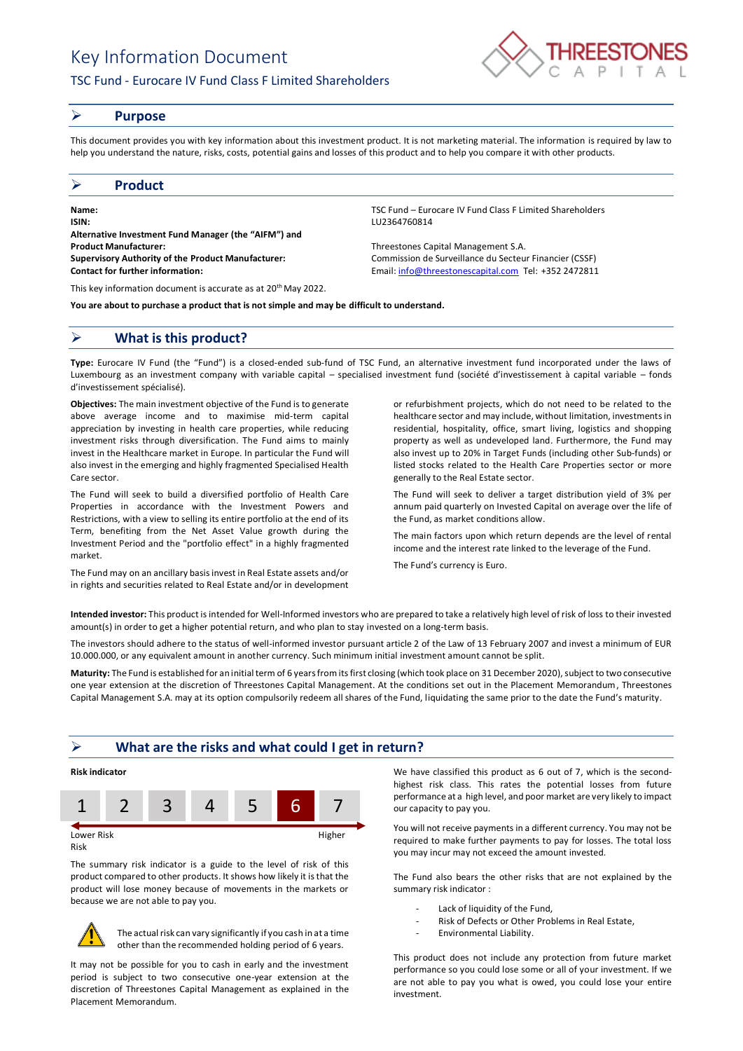# Key Information Document

# TSC Fund - Eurocare IV Fund Class F Limited Shareholders



#### ➢ **Purpose**

This document provides you with key information about this investment product. It is not marketing material. The information is required by law to help you understand the nature, risks, costs, potential gains and losses of this product and to help you compare it with other products.

### ➢ **Product**

**Name:** TSC Fund – Eurocare IV Fund Class F Limited Shareholders **ISIN:** LU2364760814 **Alternative Investment Fund Manager (the "AIFM") and Product Manufacturer:** Threestones Capital Management S.A. **Supervisory Authority of the Product Manufacturer:** Commission de Surveillance du Secteur Financier (CSSF) **Contact for further information:** Email[: info@threestonescapital.com](mailto:info@threestonescapital.com) Tel: +352 2472811

This key information document is accurate as at 20th May 2022.

**You are about to purchase a product that is not simple and may be difficult to understand.**

## ➢ **What is this product?**

**Type:** Eurocare IV Fund (the "Fund") is a closed-ended sub-fund of TSC Fund, an alternative investment fund incorporated under the laws of Luxembourg as an investment company with variable capital – specialised investment fund (société d'investissement à capital variable – fonds d'investissement spécialisé).

**Objectives:** The main investment objective of the Fund is to generate above average income and to maximise mid-term capital appreciation by investing in health care properties, while reducing investment risks through diversification. The Fund aims to mainly invest in the Healthcare market in Europe. In particular the Fund will also invest in the emerging and highly fragmented Specialised Health Care sector.

The Fund will seek to build a diversified portfolio of Health Care Properties in accordance with the Investment Powers and Restrictions, with a view to selling its entire portfolio at the end of its Term, benefiting from the Net Asset Value growth during the Investment Period and the "portfolio effect" in a highly fragmented market.

The Fund may on an ancillary basis invest in Real Estate assets and/or in rights and securities related to Real Estate and/or in development

or refurbishment projects, which do not need to be related to the healthcare sector and may include, without limitation, investments in residential, hospitality, office, smart living, logistics and shopping property as well as undeveloped land. Furthermore, the Fund may also invest up to 20% in Target Funds (including other Sub-funds) or listed stocks related to the Health Care Properties sector or more

The Fund will seek to deliver a target distribution yield of 3% per annum paid quarterly on Invested Capital on average over the life of the Fund, as market conditions allow.

The main factors upon which return depends are the level of rental income and the interest rate linked to the leverage of the Fund.

The Fund's currency is Euro.

generally to the Real Estate sector.

**Intended investor:** This product is intended for Well-Informed investors who are prepared to take a relatively high level of risk of loss to their invested amount(s) in order to get a higher potential return, and who plan to stay invested on a long-term basis.

The investors should adhere to the status of well-informed investor pursuant article 2 of the Law of 13 February 2007 and invest a minimum of EUR 10.000.000, or any equivalent amount in another currency. Such minimum initial investment amount cannot be split.

**Maturity:** The Fund is established for an initial term of 6 years from its first closing (which took place on 31 December 2020), subject to two consecutive one year extension at the discretion of Threestones Capital Management. At the conditions set out in the Placement Memorandum, Threestones Capital Management S.A. may at its option compulsorily redeem all shares of the Fund, liquidating the same prior to the date the Fund's maturity.

## ➢ **What are the risks and what could I get in return?**



Risk

The summary risk indicator is a guide to the level of risk of this product compared to other products. It shows how likely it is that the product will lose money because of movements in the markets or because we are not able to pay you.



The actual risk can vary significantly if you cash in at a time other than the recommended holding period of 6 years.

It may not be possible for you to cash in early and the investment period is subject to two consecutive one-year extension at the discretion of Threestones Capital Management as explained in the Placement Memorandum.

We have classified this product as 6 out of 7, which is the secondhighest risk class. This rates the potential losses from future performance at a high level, and poor market are very likely to impact our capacity to pay you.

You will not receive payments in a different currency. You may not be required to make further payments to pay for losses. The total loss you may incur may not exceed the amount invested.

The Fund also bears the other risks that are not explained by the summary risk indicator :

- Lack of liquidity of the Fund,
- Risk of Defects or Other Problems in Real Estate,
- Environmental Liability.

This product does not include any protection from future market performance so you could lose some or all of your investment. If we are not able to pay you what is owed, you could lose your entire investment.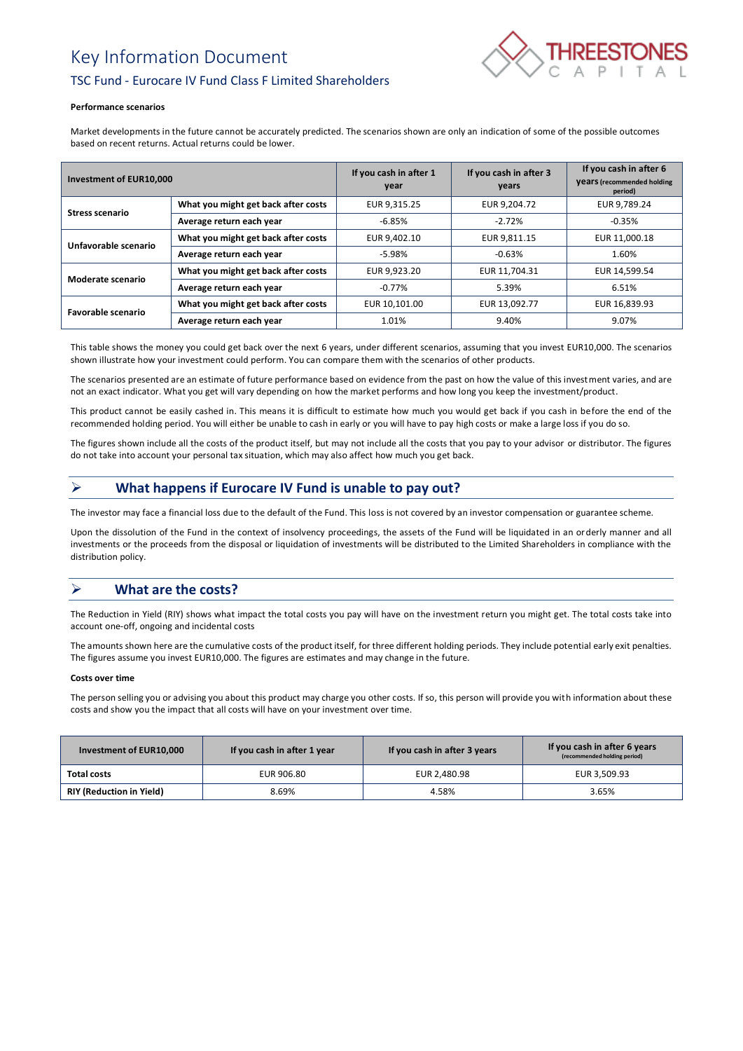# Key Information Document



# TSC Fund - Eurocare IV Fund Class F Limited Shareholders

#### **Performance scenarios**

Market developments in the future cannot be accurately predicted. The scenarios shown are only an indication of some of the possible outcomes based on recent returns. Actual returns could be lower.

| Investment of EUR10,000   |                                     | If you cash in after 1<br>year | If you cash in after 3<br>years | If you cash in after 6<br><b>Vears</b> (recommended holding<br>period) |
|---------------------------|-------------------------------------|--------------------------------|---------------------------------|------------------------------------------------------------------------|
| <b>Stress scenario</b>    | What you might get back after costs | EUR 9,315.25                   | EUR 9,204.72                    | EUR 9,789.24                                                           |
|                           | Average return each year            | $-6.85%$                       | $-2.72%$                        | $-0.35%$                                                               |
| Unfavorable scenario      | What you might get back after costs | EUR 9,402.10                   | EUR 9,811.15                    | EUR 11,000.18                                                          |
|                           | Average return each year            | -5.98%                         | $-0.63%$                        | 1.60%                                                                  |
| Moderate scenario         | What you might get back after costs | EUR 9.923.20                   | EUR 11,704.31                   | EUR 14.599.54                                                          |
|                           | Average return each year            | $-0.77\%$                      | 5.39%                           | 6.51%                                                                  |
| <b>Favorable scenario</b> | What you might get back after costs | EUR 10.101.00                  | EUR 13,092.77                   | EUR 16,839.93                                                          |
|                           | Average return each year            | 1.01%                          | 9.40%                           | 9.07%                                                                  |

This table shows the money you could get back over the next 6 years, under different scenarios, assuming that you invest EUR10,000. The scenarios shown illustrate how your investment could perform. You can compare them with the scenarios of other products.

The scenarios presented are an estimate of future performance based on evidence from the past on how the value of this investment varies, and are not an exact indicator. What you get will vary depending on how the market performs and how long you keep the investment/product.

This product cannot be easily cashed in. This means it is difficult to estimate how much you would get back if you cash in before the end of the recommended holding period. You will either be unable to cash in early or you will have to pay high costs or make a large loss if you do so.

The figures shown include all the costs of the product itself, but may not include all the costs that you pay to your advisor or distributor. The figures do not take into account your personal tax situation, which may also affect how much you get back.

# ➢ **What happens if Eurocare IV Fund is unable to pay out?**

The investor may face a financial loss due to the default of the Fund. This loss is not covered by an investor compensation or guarantee scheme.

Upon the dissolution of the Fund in the context of insolvency proceedings, the assets of the Fund will be liquidated in an orderly manner and all investments or the proceeds from the disposal or liquidation of investments will be distributed to the Limited Shareholders in compliance with the distribution policy.

# ➢ **What are the costs?**

The Reduction in Yield (RIY) shows what impact the total costs you pay will have on the investment return you might get. The total costs take into account one-off, ongoing and incidental costs

The amounts shown here are the cumulative costs of the product itself, for three different holding periods. They include potential early exit penalties. The figures assume you invest EUR10,000. The figures are estimates and may change in the future.

#### **Costs over time**

The person selling you or advising you about this product may charge you other costs. If so, this person will provide you with information about these costs and show you the impact that all costs will have on your investment over time.

| Investment of EUR10,000         | If you cash in after 1 year | If you cash in after 3 years | If you cash in after 6 years<br>(recommended holding period) |
|---------------------------------|-----------------------------|------------------------------|--------------------------------------------------------------|
| Total costs                     | EUR 906.80                  | EUR 2,480.98                 | EUR 3.509.93                                                 |
| <b>RIY (Reduction in Yield)</b> | 8.69%                       | 4.58%                        | 3.65%                                                        |